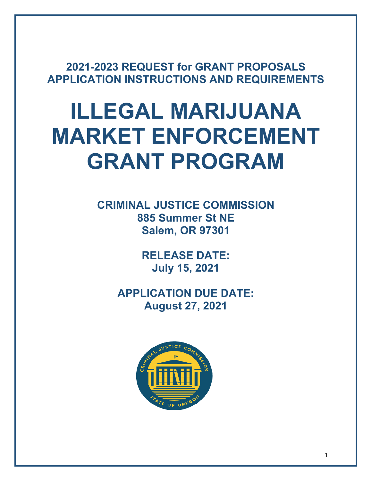**2021-2023 REQUEST for GRANT PROPOSALS APPLICATION INSTRUCTIONS AND REQUIREMENTS**

# **ILLEGAL MARIJUANA MARKET ENFORCEMENT GRANT PROGRAM**

**CRIMINAL JUSTICE COMMISSION 885 Summer St NE Salem, OR 97301**

> **RELEASE DATE: July 15, 2021**

**APPLICATION DUE DATE: August 27, 2021**

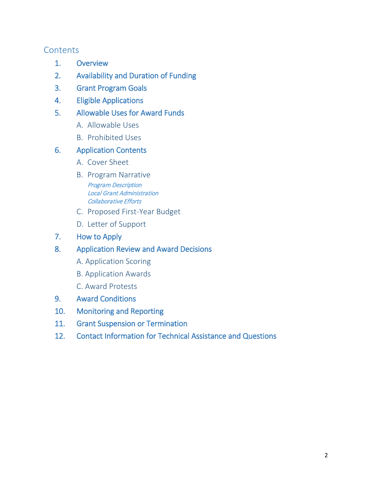## **Contents**

- 1. Overview
- 2. Availability and Duration of Funding
- 3. Grant Program Goals
- 4. Eligible Applications
- 5. Allowable Uses for Award Funds
	- A. Allowable Uses
	- B. Prohibited Uses

## 6. Application Contents

- A. Cover Sheet
- B. Program Narrative Program Description Local Grant Administration Collaborative Efforts
- C. Proposed First-Year Budget
- D. Letter of Support
- 7. How to Apply
- 8. Application Review and Award Decisions
	- A. Application Scoring
	- B. Application Awards
	- C. Award Protests
- 9. Award Conditions
- 10. Monitoring and Reporting
- 11. Grant Suspension or Termination
- 12. Contact Information for Technical Assistance and Questions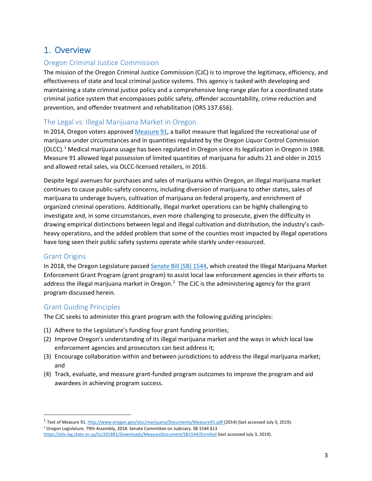## 1. Overview

#### Oregon Criminal Justice Commission

The mission of the Oregon Criminal Justice Commission (CJC) is to improve the legitimacy, efficiency, and effectiveness of state and local criminal justice systems. This agency is tasked with developing and maintaining a state criminal justice policy and a comprehensive long-range plan for a coordinated state criminal justice system that encompasses public safety, offender accountability, crime reduction and prevention, and offender treatment and rehabilitation (ORS 137.656).

#### The Legal vs. Illegal Marijuana Market in Oregon

In 2014, Oregon voters approved [Measure 91,](http://www.oregon.gov/olcc/marijuana/Documents/Measure91.pdf) a ballot measure that legalized the recreational use of marijuana under circumstances and in quantities regulated by the Oregon Liquor Control Commission  $(OLCC).$ <sup>[1](#page-2-0)</sup> Medical marijuana usage has been regulated in Oregon since its legalization in Oregon in 1988. Measure 91 allowed legal possession of limited quantities of marijuana for adults 21 and older in 2015 and allowed retail sales, via OLCC-licensed retailers, in 2016.

Despite legal avenues for purchases and sales of marijuana within Oregon, an illegal marijuana market continues to cause public-safety concerns, including diversion of marijuana to other states, sales of marijuana to underage buyers, cultivation of marijuana on federal property, and enrichment of organized criminal operations. Additionally, illegal market operations can be highly challenging to investigate and, in some circumstances, even more challenging to prosecute, given the difficulty in drawing empirical distinctions between legal and illegal cultivation and distribution, the industry's cashheavy operations, and the added problem that some of the counties most impacted by illegal operations have long seen their public safety systems operate while starkly under-resourced.

#### Grant Origins

In 2018, the Oregon Legislature passed [Senate Bill \(SB\) 1544,](https://olis.leg.state.or.us/liz/2018R1/Downloads/MeasureDocument/SB1544/Enrolled) which created the Illegal Marijuana Market Enforcement Grant Program (grant program) to assist local law enforcement agencies in their efforts to address the illegal marijuana market in Oregon.<sup>[2](#page-2-1)</sup> The CJC is the administering agency for the grant program discussed herein.

#### Grant Guiding Principles

The CJC seeks to administer this grant program with the following guiding principles:

- (1) Adhere to the Legislature's funding four grant funding priorities;
- (2) Improve Oregon's understanding of its illegal marijuana market and the ways in which local law enforcement agencies and prosecutors can best address it;
- (3) Encourage collaboration within and between jurisdictions to address the illegal marijuana market; and
- (4) Track, evaluate, and measure grant-funded program outcomes to improve the program and aid awardees in achieving program success.

<span id="page-2-0"></span> <sup>1</sup> Text of Measure 91[. http://www.oregon.gov/olcc/marijuana/Documents/Measure91.pdf](http://www.oregon.gov/olcc/marijuana/Documents/Measure91.pdf) (2014) (last accessed July 3, 2019).

<span id="page-2-1"></span><sup>2</sup> Oregon Legislature. 79th Assembly, 2018. Senate Committee on Judiciary. SB 1544 §13

<https://olis.leg.state.or.us/liz/2018R1/Downloads/MeasureDocument/SB1544/Enrolled> (last accessed July 3, 2019).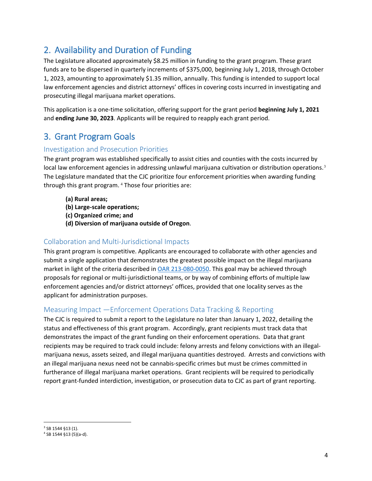# 2. Availability and Duration of Funding

The Legislature allocated approximately \$8.25 million in funding to the grant program. These grant funds are to be dispersed in quarterly increments of \$375,000, beginning July 1, 2018, through October 1, 2023, amounting to approximately \$1.35 million, annually. This funding is intended to support local law enforcement agencies and district attorneys' offices in covering costs incurred in investigating and prosecuting illegal marijuana market operations.

This application is a one-time solicitation, offering support for the grant period **beginning July 1, 2021**  and **ending June 30, 2023**. Applicants will be required to reapply each grant period.

# 3. Grant Program Goals

## Investigation and Prosecution Priorities

The grant program was established specifically to assist cities and counties with the costs incurred by local law enforcement agencies in addressing unlawful marijuana cultivation or distribution operations.<sup>[3](#page-3-0)</sup> The Legislature mandated that the CJC prioritize four enforcement priorities when awarding funding through this grant program. <sup>[4](#page-3-1)</sup> Those four priorities are:

- **(a) Rural areas;**
- **(b) Large-scale operations;**
- **(c) Organized crime; and**
- **(d) Diversion of marijuana outside of Oregon**.

#### Collaboration and Multi-Jurisdictional Impacts

This grant program is competitive. Applicants are encouraged to collaborate with other agencies and submit a single application that demonstrates the greatest possible impact on the illegal marijuana market in light of the criteria described i[n OAR 213-080-0050.](https://secure.sos.state.or.us/oard/viewSingleRule.action?ruleVrsnRsn=249203) This goal may be achieved through proposals for regional or multi-jurisdictional teams, or by way of combining efforts of multiple law enforcement agencies and/or district attorneys' offices, provided that one locality serves as the applicant for administration purposes.

## Measuring Impact —Enforcement Operations Data Tracking & Reporting

The CJC is required to submit a report to the Legislature no later than January 1, 2022, detailing the status and effectiveness of this grant program. Accordingly, grant recipients must track data that demonstrates the impact of the grant funding on their enforcement operations. Data that grant recipients may be required to track could include: felony arrests and felony convictions with an illegalmarijuana nexus, assets seized, and illegal marijuana quantities destroyed. Arrests and convictions with an illegal marijuana nexus need not be cannabis-specific crimes but must be crimes committed in furtherance of illegal marijuana market operations. Grant recipients will be required to periodically report grant-funded interdiction, investigation, or prosecution data to CJC as part of grant reporting.

<span id="page-3-0"></span> <sup>3</sup> SB 1544 §13 (1).

<span id="page-3-1"></span><sup>4</sup> SB 1544 §13 (5)(a-d).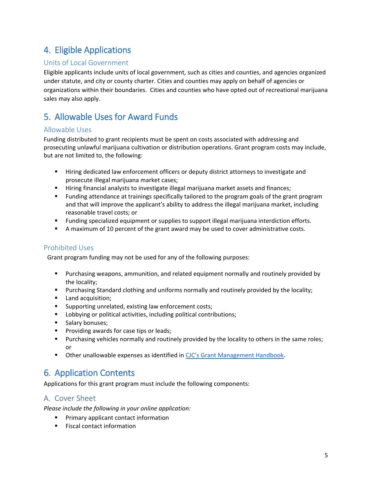# 4. Eligible Applications

## Units of Local Government

Eligible applicants include units of local government, such as cities and counties, and agencies organized under statute, and city or county charter. Cities and counties may apply on behalf of agencies or organizations within their boundaries. Cities and counties who have opted out of recreational marijuana sales may also apply.

# 5. Allowable Uses for Award Funds

#### Allowable Uses

Funding distributed to grant recipients must be spent on costs associated with addressing and prosecuting unlawful marijuana cultivation or distribution operations. Grant program costs may include, but are not limited to, the following:

- **F** Hiring dedicated law enforcement officers or deputy district attorneys to investigate and prosecute illegal marijuana market cases;
- Hiring financial analysts to investigate illegal marijuana market assets and finances;
- Funding attendance at trainings specifically tailored to the program goals of the grant program and that will improve the applicant's ability to address the illegal marijuana market, including reasonable travel costs; or
- Funding specialized equipment or supplies to support illegal marijuana interdiction efforts.
- A maximum of 10 percent of the grant award may be used to cover administrative costs.

#### Prohibited Uses

Grant program funding may not be used for any of the following purposes:

- Purchasing weapons, ammunition, and related equipment normally and routinely provided by the locality;
- **Purchasing Standard clothing and uniforms normally and routinely provided by the locality;**
- **Land acquisition;**
- **Supporting unrelated, existing law enforcement costs;**
- **Lobbying or political activities, including political contributions;**
- **Salary bonuses;**
- **Providing awards for case tips or leads;**
- **Purchasing vehicles normally and routinely provided by the locality to others in the same roles;** or
- **Other unallowable expenses as identified i[n CJC's Grant Management Handbook.](https://www.oregon.gov/cjc/CJC%20Document%20Library/21-23_GMH.pdf)**

# 6. Application Contents

Applications for this grant program must include the following components:

## A. Cover Sheet

*Please include the following in your online application:*

- **Primary applicant contact information**
- **Fiscal contact information**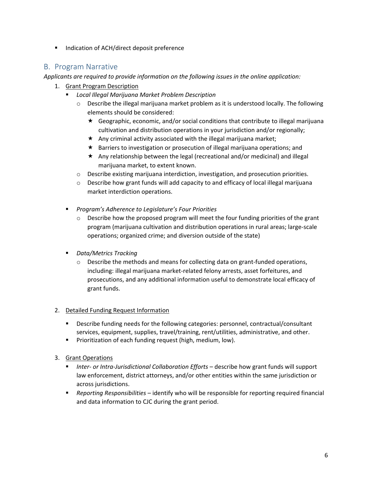■ Indication of ACH/direct deposit preference

## B. Program Narrative

#### *Applicants are required to provide information on the following issues in the online application:*

- 1. Grant Program Description
	- *Local Illegal Marijuana Market Problem Description*
		- $\circ$  Describe the illegal marijuana market problem as it is understood locally. The following elements should be considered:
			- $\star$  Geographic, economic, and/or social conditions that contribute to illegal marijuana cultivation and distribution operations in your jurisdiction and/or regionally;
			- $\star$  Any criminal activity associated with the illegal marijuana market;
			- $\star$  Barriers to investigation or prosecution of illegal marijuana operations; and
			- Any relationship between the legal (recreational and/or medicinal) and illegal marijuana market, to extent known.
		- $\circ$  Describe existing marijuana interdiction, investigation, and prosecution priorities.
		- $\circ$  Describe how grant funds will add capacity to and efficacy of local illegal marijuana market interdiction operations.
	- *Program's Adherence to Legislature's Four Priorities* 
		- $\circ$  Describe how the proposed program will meet the four funding priorities of the grant program (marijuana cultivation and distribution operations in rural areas; large-scale operations; organized crime; and diversion outside of the state)
	- *Data/Metrics Tracking*
		- $\circ$  Describe the methods and means for collecting data on grant-funded operations, including: illegal marijuana market-related felony arrests, asset forfeitures, and prosecutions, and any additional information useful to demonstrate local efficacy of grant funds.

#### 2. Detailed Funding Request Information

- Describe funding needs for the following categories: personnel, contractual/consultant services, equipment, supplies, travel/training, rent/utilities, administrative, and other.
- **Phioritization of each funding request (high, medium, low).**
- 3. Grant Operations
	- *Inter- or Intra-Jurisdictional Collaboration Efforts* describe how grant funds will support law enforcement, district attorneys, and/or other entities within the same jurisdiction or across jurisdictions.
	- *Reporting Responsibilities* identify who will be responsible for reporting required financial and data information to CJC during the grant period.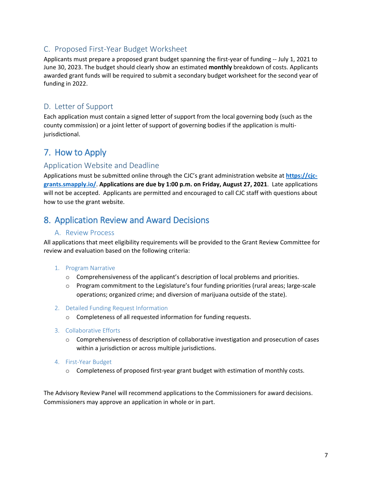## C. Proposed First-Year Budget Worksheet

Applicants must prepare a proposed grant budget spanning the first-year of funding -- July 1, 2021 to June 30, 2023. The budget should clearly show an estimated **monthly** breakdown of costs. Applicants awarded grant funds will be required to submit a secondary budget worksheet for the second year of funding in 2022.

## D. Letter of Support

Each application must contain a signed letter of support from the local governing body (such as the county commission) or a joint letter of support of governing bodies if the application is multijurisdictional.

# 7. How to Apply

## Application Website and Deadline

Applications must be submitted online through the CJC's grant administration website at **[https://cjc](https://cjc-grants.smapply.io/)[grants.smapply.io/](https://cjc-grants.smapply.io/)**. **Applications are due by 1:00 p.m. on Friday, August 27, 2021**. Late applications will not be accepted. Applicants are permitted and encouraged to call CJC staff with questions about how to use the grant website.

# 8. Application Review and Award Decisions

#### A. Review Process

All applications that meet eligibility requirements will be provided to the Grant Review Committee for review and evaluation based on the following criteria:

#### 1. Program Narrative

- o Comprehensiveness of the applicant's description of local problems and priorities.
- $\circ$  Program commitment to the Legislature's four funding priorities (rural areas; large-scale operations; organized crime; and diversion of marijuana outside of the state).
- 2. Detailed Funding Request Information
	- o Completeness of all requested information for funding requests.
- 3. Collaborative Efforts
	- o Comprehensiveness of description of collaborative investigation and prosecution of cases within a jurisdiction or across multiple jurisdictions.
- 4. First-Year Budget
	- o Completeness of proposed first-year grant budget with estimation of monthly costs.

The Advisory Review Panel will recommend applications to the Commissioners for award decisions. Commissioners may approve an application in whole or in part.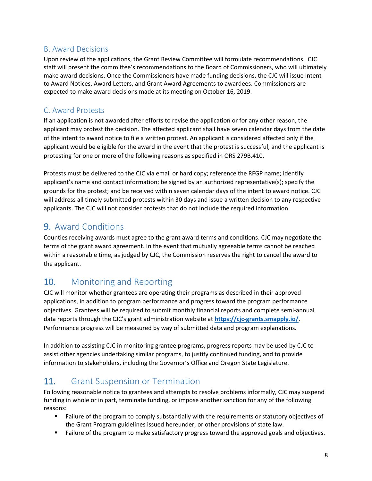## B. Award Decisions

Upon review of the applications, the Grant Review Committee will formulate recommendations. CJC staff will present the committee's recommendations to the Board of Commissioners, who will ultimately make award decisions. Once the Commissioners have made funding decisions, the CJC will issue Intent to Award Notices, Award Letters, and Grant Award Agreements to awardees. Commissioners are expected to make award decisions made at its meeting on October 16, 2019.

## C. Award Protests

If an application is not awarded after efforts to revise the application or for any other reason, the applicant may protest the decision. The affected applicant shall have seven calendar days from the date of the intent to award notice to file a written protest. An applicant is considered affected only if the applicant would be eligible for the award in the event that the protest is successful, and the applicant is protesting for one or more of the following reasons as specified in ORS 279B.410.

Protests must be delivered to the CJC via email or hard copy; reference the RFGP name; identify applicant's name and contact information; be signed by an authorized representative(s); specify the grounds for the protest; and be received within seven calendar days of the intent to award notice. CJC will address all timely submitted protests within 30 days and issue a written decision to any respective applicants. The CJC will not consider protests that do not include the required information.

# 9. Award Conditions

Counties receiving awards must agree to the grant award terms and conditions. CJC may negotiate the terms of the grant award agreement. In the event that mutually agreeable terms cannot be reached within a reasonable time, as judged by CJC, the Commission reserves the right to cancel the award to the applicant.

# 10. Monitoring and Reporting

CJC will monitor whether grantees are operating their programs as described in their approved applications, in addition to program performance and progress toward the program performance objectives. Grantees will be required to submit monthly financial reports and complete semi-annual data reports through the CJC's grant administration website at **<https://cjc-grants.smapply.io/>**. Performance progress will be measured by way of submitted data and program explanations.

In addition to assisting CJC in monitoring grantee programs, progress reports may be used by CJC to assist other agencies undertaking similar programs, to justify continued funding, and to provide information to stakeholders, including the Governor's Office and Oregon State Legislature.

# 11. Grant Suspension or Termination

Following reasonable notice to grantees and attempts to resolve problems informally, CJC may suspend funding in whole or in part, terminate funding, or impose another sanction for any of the following reasons:

- **Failure of the program to comply substantially with the requirements or statutory objectives of** the Grant Program guidelines issued hereunder, or other provisions of state law.
- **Failure of the program to make satisfactory progress toward the approved goals and objectives.**